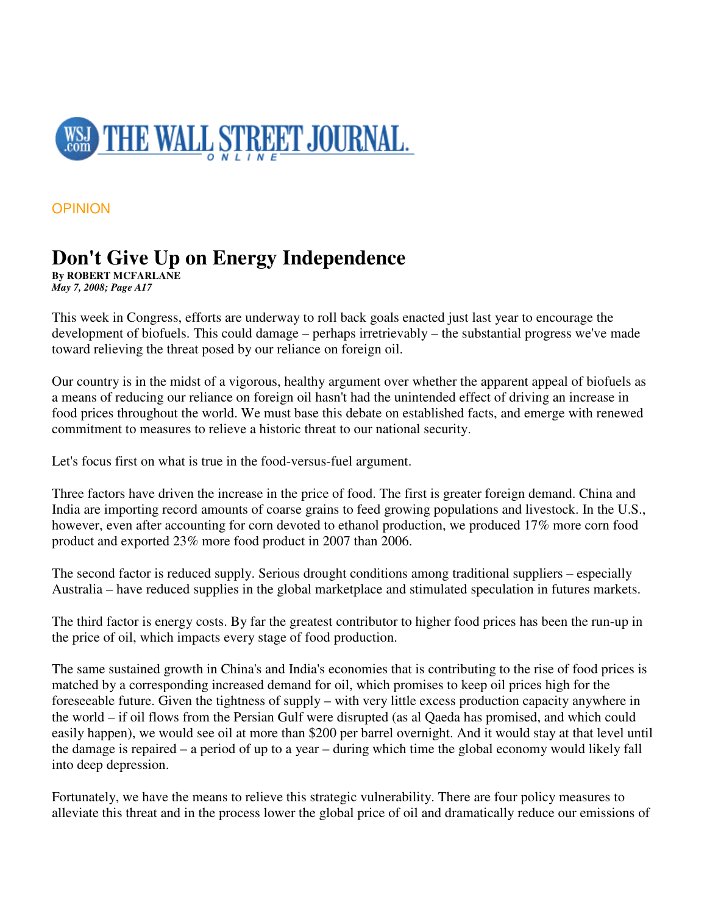

## **OPINION**

## **Don't Give Up on Energy Independence**

**By ROBERT MCFARLANE**  *May 7, 2008; Page A17*

This week in Congress, efforts are underway to roll back goals enacted just last year to encourage the development of biofuels. This could damage – perhaps irretrievably – the substantial progress we've made toward relieving the threat posed by our reliance on foreign oil.

Our country is in the midst of a vigorous, healthy argument over whether the apparent appeal of biofuels as a means of reducing our reliance on foreign oil hasn't had the unintended effect of driving an increase in food prices throughout the world. We must base this debate on established facts, and emerge with renewed commitment to measures to relieve a historic threat to our national security.

Let's focus first on what is true in the food-versus-fuel argument.

Three factors have driven the increase in the price of food. The first is greater foreign demand. China and India are importing record amounts of coarse grains to feed growing populations and livestock. In the U.S., however, even after accounting for corn devoted to ethanol production, we produced 17% more corn food product and exported 23% more food product in 2007 than 2006.

The second factor is reduced supply. Serious drought conditions among traditional suppliers – especially Australia – have reduced supplies in the global marketplace and stimulated speculation in futures markets.

The third factor is energy costs. By far the greatest contributor to higher food prices has been the run-up in the price of oil, which impacts every stage of food production.

The same sustained growth in China's and India's economies that is contributing to the rise of food prices is matched by a corresponding increased demand for oil, which promises to keep oil prices high for the foreseeable future. Given the tightness of supply – with very little excess production capacity anywhere in the world – if oil flows from the Persian Gulf were disrupted (as al Qaeda has promised, and which could easily happen), we would see oil at more than \$200 per barrel overnight. And it would stay at that level until the damage is repaired – a period of up to a year – during which time the global economy would likely fall into deep depression.

Fortunately, we have the means to relieve this strategic vulnerability. There are four policy measures to alleviate this threat and in the process lower the global price of oil and dramatically reduce our emissions of